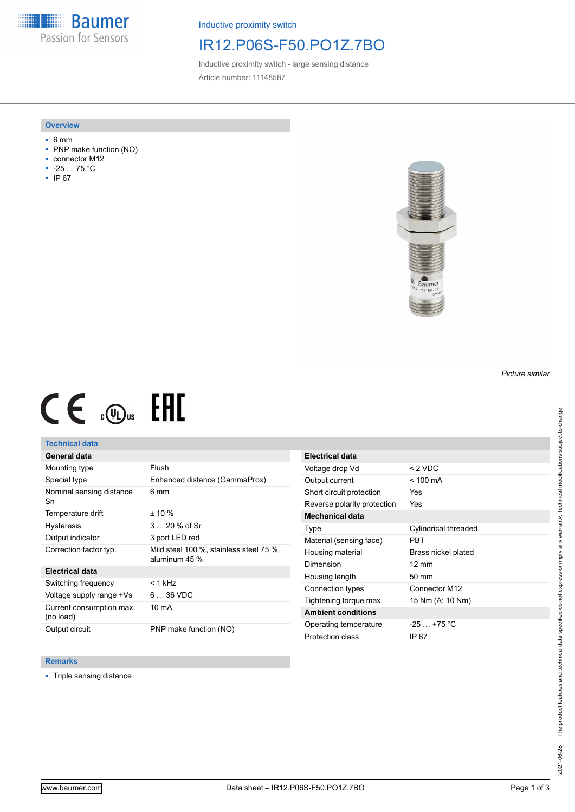**Baumer** Passion for Sensors

Inductive proximity switch

## IR12.P06S-F50.PO1Z.7BO

Inductive proximity switch - large sensing distance Article number: 11148587

#### **Overview**

- 6 mm
- PNP make function (NO)
- connector M12
- -25 … 75 °C
- IP 67



# $CE \mathcal{L}$  ( $\mathcal{L}$  and  $SE$

### **Technical data**

## **General data**

| Mounting type                         | Flush                                                    |
|---------------------------------------|----------------------------------------------------------|
| Special type                          | Enhanced distance (GammaProx)                            |
| Nominal sensing distance<br>Sn        | 6 mm                                                     |
| Temperature drift                     | $± 10 \%$                                                |
| <b>Hysteresis</b>                     | $320%$ of Sr                                             |
| Output indicator                      | 3 port LED red                                           |
| Correction factor typ.                | Mild steel 100 %, stainless steel 75 %,<br>aluminum 45 % |
| <b>Electrical data</b>                |                                                          |
| Switching frequency                   | $<$ 1 kH $<$                                             |
| Voltage supply range +Vs              | $636$ VDC                                                |
| Current consumption max.<br>(no load) | 10 mA                                                    |
| Output circuit                        | PNP make function (NO)                                   |

| <b>Electrical data</b>      |                      |
|-----------------------------|----------------------|
| Voltage drop Vd             | $< 2$ VDC            |
| Output current              | $<$ 100 mA           |
| Short circuit protection    | Yes                  |
| Reverse polarity protection | Yes                  |
| Mechanical data             |                      |
| Type                        | Cylindrical threaded |
| Material (sensing face)     | PBT                  |
| Housing material            | Brass nickel plated  |
| Dimension                   | $12 \text{ mm}$      |
| Housing length              | $50 \text{ mm}$      |
| Connection types            | Connector M12        |
| Tightening torque max.      | 15 Nm (A: 10 Nm)     |
| <b>Ambient conditions</b>   |                      |
| Operating temperature       | $-25+75 °C$          |
| Protection class            | IP 67                |

#### **Remarks**

■ Triple sensing distance

*Picture similar*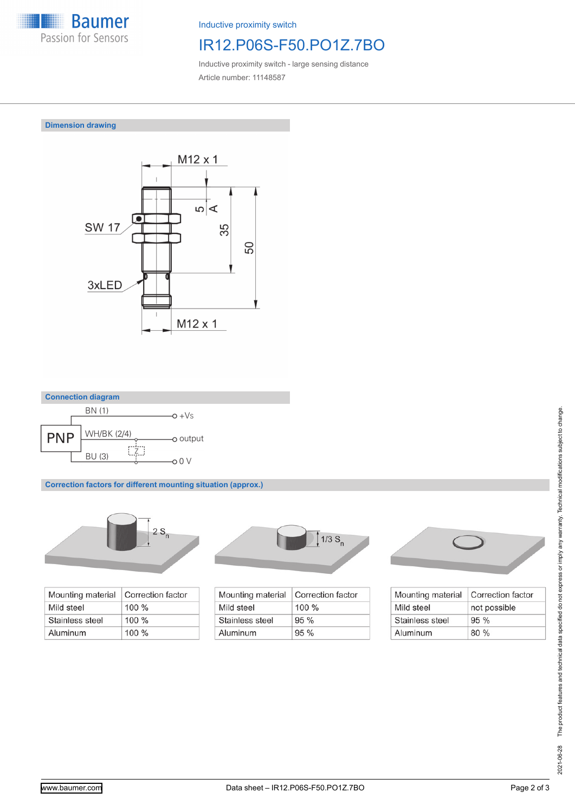

Inductive proximity switch

# IR12.P06S-F50.PO1Z.7BO

Inductive proximity switch - large sensing distance Article number: 11148587

**Dimension drawing**





**Correction factors for different mounting situation (approx.)**



| Mounting material | Correction factor |
|-------------------|-------------------|
| Mild steel        | $100 \%$          |
| Stainless steel   | $100\%$           |
| Aluminum          | $100\%$           |



| Mounting material | Correction factor |
|-------------------|-------------------|
| Mild steel        | $100\%$           |
| Stainless steel   | 95%               |
| Aluminum          | 95%               |



| Mounting material | Correction factor |
|-------------------|-------------------|
| Mild steel        | not possible      |
| Stainless steel   | 95%               |
| Aluminum          | 80%               |